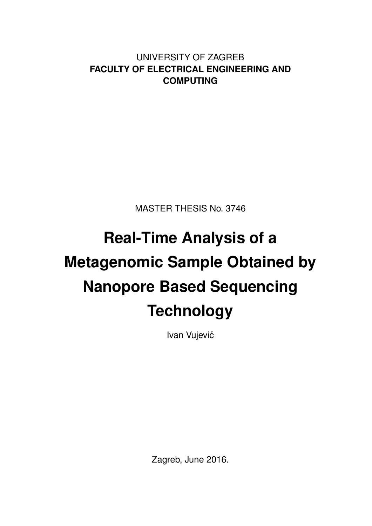UNIVERSITY OF ZAGREB **FACULTY OF ELECTRICAL ENGINEERING AND COMPUTING**

MASTER THESIS No. 3746

# **Real-Time Analysis of a Metagenomic Sample Obtained by Nanopore Based Sequencing Technology**

Ivan Vujević

Zagreb, June 2016.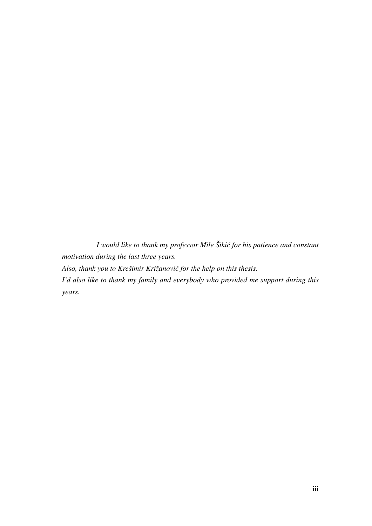*I would like to thank my professor Mile Šiki´c for his patience and constant motivation during the last three years. Also, thank you to Krešimir Križanovi´c for the help on this thesis. I'd also like to thank my family and everybody who provided me support during this*

*years.*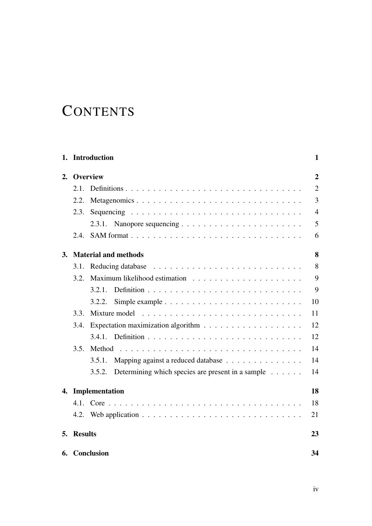## **CONTENTS**

|           |                | 1. Introduction                                             | $\mathbf{1}$   |
|-----------|----------------|-------------------------------------------------------------|----------------|
| 2.        |                | <b>Overview</b>                                             | $\overline{2}$ |
|           | 2.1.           |                                                             | $\overline{2}$ |
|           | 2.2.           | Metagenomics                                                | 3              |
|           | 2.3.           |                                                             | $\overline{4}$ |
|           |                |                                                             | 5              |
|           | 2.4.           |                                                             | 6              |
| <b>3.</b> |                | <b>Material and methods</b>                                 | 8              |
|           | 3.1.           |                                                             | 8              |
|           |                |                                                             | 9              |
|           |                | 3.2.1.                                                      | 9              |
|           |                | 3.2.2.                                                      | 10             |
|           | 3.3.           | Mixture model                                               | 11             |
|           | 3.4.           |                                                             | 12             |
|           |                |                                                             | 12             |
|           | 3.5.           |                                                             | 14             |
|           |                | 3.5.1.<br>Mapping against a reduced database                | 14             |
|           |                | Determining which species are present in a sample<br>3.5.2. | 14             |
| 4.        |                | Implementation                                              | 18             |
|           |                |                                                             | 18             |
|           |                |                                                             | 21             |
| 5.        | <b>Results</b> |                                                             | 23             |
| 6.        |                | Conclusion                                                  | 34             |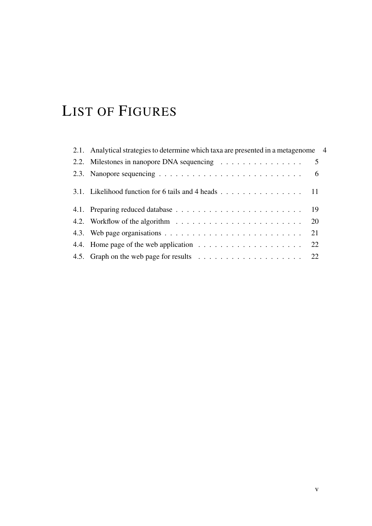## LIST OF FIGURES

| 2.1. Analytical strategies to determine which taxa are presented in a metagenome 4                 |     |  |
|----------------------------------------------------------------------------------------------------|-----|--|
| 2.2. Milestones in nanopore DNA sequencing $\ldots \ldots \ldots \ldots \ldots$ 5                  |     |  |
| 2.3. Nanopore sequencing $\ldots \ldots \ldots \ldots \ldots \ldots \ldots \ldots \ldots$          | - 6 |  |
| 3.1. Likelihood function for 6 tails and 4 heads $\ldots \ldots \ldots \ldots \ldots \ldots$ 11    |     |  |
|                                                                                                    |     |  |
| 4.2. Workflow of the algorithm $\ldots \ldots \ldots \ldots \ldots \ldots \ldots \ldots \ldots$ 20 |     |  |
|                                                                                                    | 21  |  |
|                                                                                                    | 22  |  |
|                                                                                                    |     |  |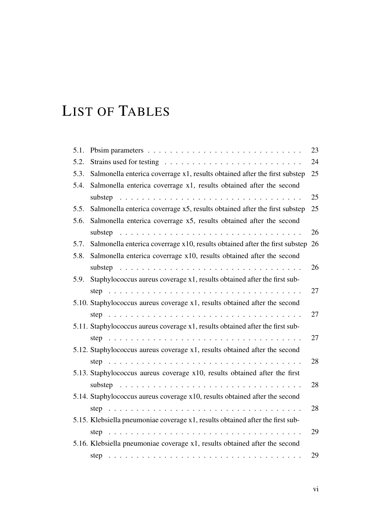## LIST OF TABLES

| 5.1. |                                                                                | 23 |
|------|--------------------------------------------------------------------------------|----|
| 5.2. |                                                                                | 24 |
| 5.3. | Salmonella enterica coverrage x1, results obtained after the first substep     | 25 |
| 5.4. | Salmonella enterica coverrage x1, results obtained after the second            |    |
|      |                                                                                | 25 |
| 5.5. | Salmonella enterica coverrage x5, results obtained after the first substep     | 25 |
| 5.6. | Salmonella enterica coverrage x5, results obtained after the second            |    |
|      |                                                                                | 26 |
| 5.7. | Salmonella enterica coverrage x10, results obtained after the first substep    | 26 |
| 5.8. | Salmonella enterica coverrage x10, results obtained after the second           |    |
|      |                                                                                | 26 |
| 5.9. | Staphylococcus aureus coverage x1, results obtained after the first sub-       |    |
|      |                                                                                | 27 |
|      | 5.10. Staphylococcus aureus coverage x1, results obtained after the second     |    |
|      |                                                                                | 27 |
|      | 5.11. Staphylococcus aureus coverage x1, results obtained after the first sub- |    |
|      |                                                                                | 27 |
|      | 5.12. Staphylococcus aureus coverage x1, results obtained after the second     |    |
|      |                                                                                | 28 |
|      | 5.13. Staphylococcus aureus coverage x10, results obtained after the first     |    |
|      |                                                                                | 28 |
|      | 5.14. Staphylococcus aureus coverage x10, results obtained after the second    |    |
|      |                                                                                | 28 |
|      | 5.15. Klebsiella pneumoniae coverage x1, results obtained after the first sub- |    |
|      |                                                                                | 29 |
|      | 5.16. Klebsiella pneumoniae coverage x1, results obtained after the second     |    |
|      |                                                                                | 29 |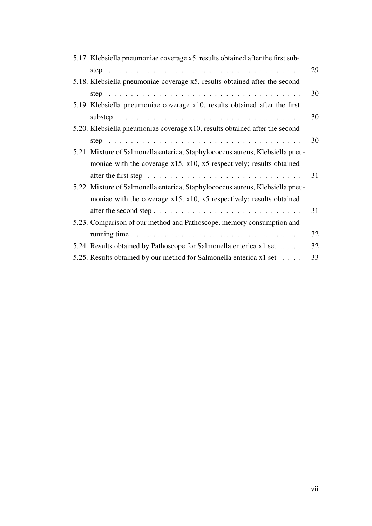| 5.17. Klebsiella pneumoniae coverage x5, results obtained after the first sub- |    |
|--------------------------------------------------------------------------------|----|
|                                                                                | 29 |
| 5.18. Klebsiella pneumoniae coverage x5, results obtained after the second     |    |
|                                                                                | 30 |
| 5.19. Klebsiella pneumoniae coverage x10, results obtained after the first     |    |
|                                                                                | 30 |
| 5.20. Klebsiella pneumoniae coverage x10, results obtained after the second    |    |
|                                                                                | 30 |
| 5.21. Mixture of Salmonella enterica, Staphylococcus aureus, Klebsiella pneu-  |    |
| moniae with the coverage $x15$ , $x10$ , $x5$ respectively; results obtained   |    |
|                                                                                | 31 |
| 5.22. Mixture of Salmonella enterica, Staphylococcus aureus, Klebsiella pneu-  |    |
| moniae with the coverage $x15$ , $x10$ , $x5$ respectively; results obtained   |    |
|                                                                                | 31 |
| 5.23. Comparison of our method and Pathoscope, memory consumption and          |    |
|                                                                                | 32 |
| 5.24. Results obtained by Pathoscope for Salmonella enterica x1 set            | 32 |
| 5.25. Results obtained by our method for Salmonella enterica x1 set            | 33 |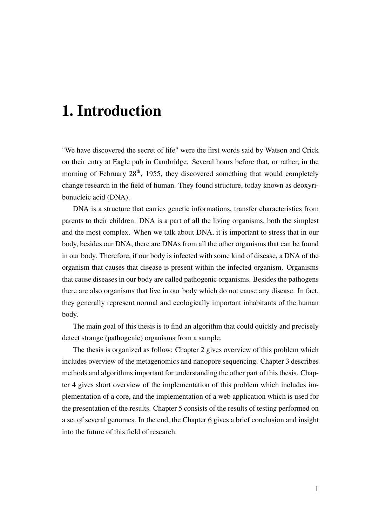## 1. Introduction

"We have discovered the secret of life" were the first words said by Watson and Crick on their entry at Eagle pub in Cambridge. Several hours before that, or rather, in the morning of February  $28<sup>th</sup>$ , 1955, they discovered something that would completely change research in the field of human. They found structure, today known as deoxyribonucleic acid (DNA).

DNA is a structure that carries genetic informations, transfer characteristics from parents to their children. DNA is a part of all the living organisms, both the simplest and the most complex. When we talk about DNA, it is important to stress that in our body, besides our DNA, there are DNAs from all the other organisms that can be found in our body. Therefore, if our body is infected with some kind of disease, a DNA of the organism that causes that disease is present within the infected organism. Organisms that cause diseases in our body are called pathogenic organisms. Besides the pathogens there are also organisms that live in our body which do not cause any disease. In fact, they generally represent normal and ecologically important inhabitants of the human body.

The main goal of this thesis is to find an algorithm that could quickly and precisely detect strange (pathogenic) organisms from a sample.

The thesis is organized as follow: Chapter 2 gives overview of this problem which includes overview of the metagenomics and nanopore sequencing. Chapter 3 describes methods and algorithms important for understanding the other part of this thesis. Chapter 4 gives short overview of the implementation of this problem which includes implementation of a core, and the implementation of a web application which is used for the presentation of the results. Chapter 5 consists of the results of testing performed on a set of several genomes. In the end, the Chapter 6 gives a brief conclusion and insight into the future of this field of research.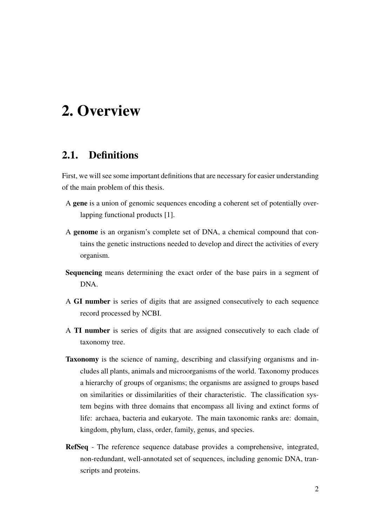## 2. Overview

### 2.1. Definitions

First, we will see some important definitions that are necessary for easier understanding of the main problem of this thesis.

- A gene is a union of genomic sequences encoding a coherent set of potentially overlapping functional products [1].
- A genome is an organism's complete set of DNA, a chemical compound that contains the genetic instructions needed to develop and direct the activities of every organism.
- Sequencing means determining the exact order of the base pairs in a segment of DNA.
- A GI number is series of digits that are assigned consecutively to each sequence record processed by NCBI.
- A TI number is series of digits that are assigned consecutively to each clade of taxonomy tree.
- Taxonomy is the science of naming, describing and classifying organisms and includes all plants, animals and microorganisms of the world. Taxonomy produces a hierarchy of groups of organisms; the organisms are assigned to groups based on similarities or dissimilarities of their characteristic. The classification system begins with three domains that encompass all living and extinct forms of life: archaea, bacteria and eukaryote. The main taxonomic ranks are: domain, kingdom, phylum, class, order, family, genus, and species.
- RefSeq The reference sequence database provides a comprehensive, integrated, non-redundant, well-annotated set of sequences, including genomic DNA, transcripts and proteins.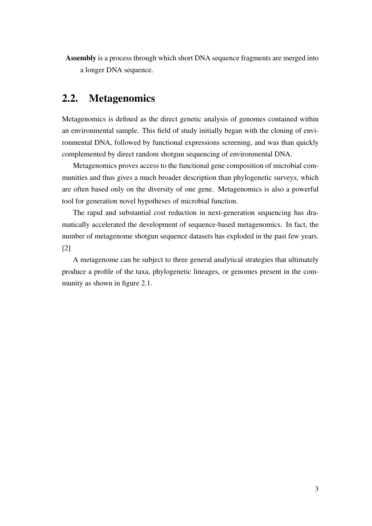Assembly is a process through which short DNA sequence fragments are merged into a longer DNA sequence.

### 2.2. Metagenomics

Metagenomics is defined as the direct genetic analysis of genomes contained within an environmental sample. This field of study initially began with the cloning of environmental DNA, followed by functional expressions screening, and was than quickly complemented by direct random shotgun sequencing of environmental DNA.

Metagenomics proves access to the functional gene composition of microbial communities and thus gives a much broader description than phylogenetic surveys, which are often based only on the diversity of one gene. Metagenomics is also a powerful tool for generation novel hypotheses of microbial function.

The rapid and substantial cost reduction in next-generation sequencing has dramatically accelerated the development of sequence-based metagenomics. In fact, the number of metagenome shotgun sequence datasets has exploded in the past few years. [2]

A metagenome can be subject to three general analytical strategies that ultimately produce a profile of the taxa, phylogenetic lineages, or genomes present in the community as shown in figure 2.1.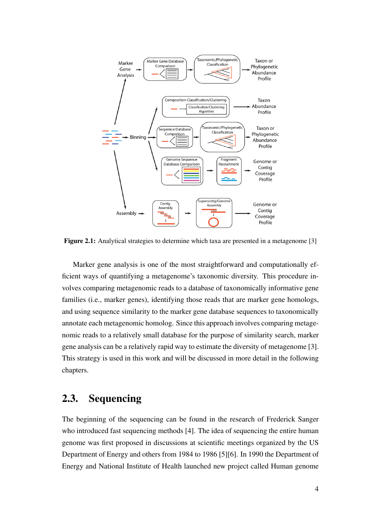

Figure 2.1: Analytical strategies to determine which taxa are presented in a metagenome [3]

Marker gene analysis is one of the most straightforward and computationally efficient ways of quantifying a metagenome's taxonomic diversity. This procedure involves comparing metagenomic reads to a database of taxonomically informative gene families (i.e., marker genes), identifying those reads that are marker gene homologs, and using sequence similarity to the marker gene database sequences to taxonomically annotate each metagenomic homolog. Since this approach involves comparing metagenomic reads to a relatively small database for the purpose of similarity search, marker gene analysis can be a relatively rapid way to estimate the diversity of metagenome [3]. This strategy is used in this work and will be discussed in more detail in the following chapters.

### 2.3. Sequencing

The beginning of the sequencing can be found in the research of Frederick Sanger who introduced fast sequencing methods [4]. The idea of sequencing the entire human genome was first proposed in discussions at scientific meetings organized by the US Department of Energy and others from 1984 to 1986 [5][6]. In 1990 the Department of Energy and National Institute of Health launched new project called Human genome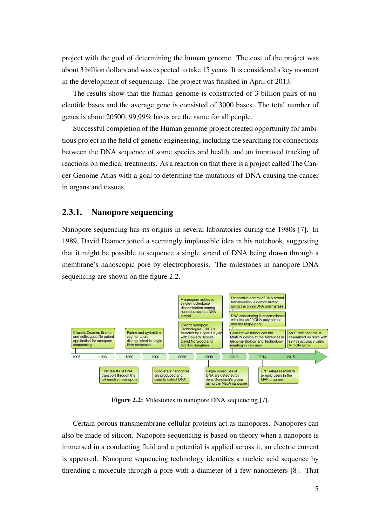project with the goal of determining the human genome. The cost of the project was about 3 billion dollars and was expected to take 15 years. It is considered a key moment in the development of sequencing. The project was finished in April of 2013.

The results show that the human genome is constructed of 3 billion pairs of nucleotide bases and the average gene is consisted of 3000 bases. The total number of genes is about 20500; 99,99% bases are the same for all people.

Successful completion of the Human genome project created opportunity for ambitious project in the field of genetic engineering, including the searching for connections between the DNA sequence of some species and health, and an improved tracking of reactions on medical treatments. As a reaction on that there is a project called The Cancer Genome Atlas with a goal to determine the mutations of DNA causing the cancer in organs and tissues.

#### 2.3.1. Nanopore sequencing

Nanopore sequencing has its origins in several laboratories during the 1980s [7]. In 1989, David Deamer jotted a seemingly implausible idea in his notebook, suggesting that it might be possible to sequence a single strand of DNA being drawn through a membrane's nanoscopic pore by electrophoresis. The milestones in nanopore DNA sequencing are shown on the figure 2.2.



Figure 2.2: Milestones in nanopore DNA sequencing [7].

Certain porous transmembrane cellular proteins act as nanopores. Nanopores can also be made of silicon. Nanopore sequencing is based on theory when a nanopore is immersed in a conducting fluid and a potential is applied across it, an electric current is appeared. Nanopore sequencing technology identifies a nucleic acid sequence by threading a molecule through a pore with a diameter of a few nanometers [8]. That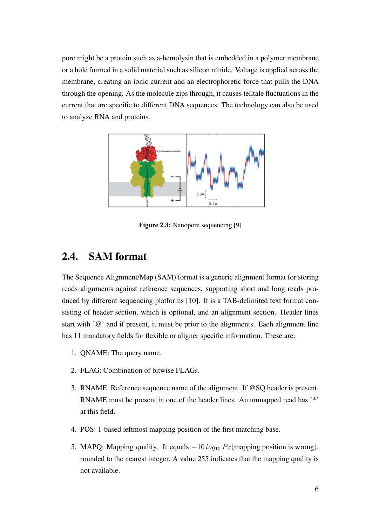pore might be a protein such as a-hemolysin that is embedded in a polymer membrane or a hole formed in a solid material such as silicon nitride. Voltage is applied across the membrane, creating an ionic current and an electrophoretic force that pulls the DNA through the opening. As the molecule zips through, it causes telltale fluctuations in the current that are specific to different DNA sequences. The technology can also be used to analyze RNA and proteins.



Figure 2.3: Nanopore sequencing [9]

## 2.4. SAM format

The Sequence Alignment/Map (SAM) format is a generic alignment format for storing reads alignments against reference sequences, supporting short and long reads produced by different sequencing platforms [10]. It is a TAB-delimited text format consisting of header section, which is optional, and an alignment section. Header lines start with '@' and if present, it must be prior to the alignments. Each alignment line has 11 mandatory fields for flexible or aligner specific information. These are:

- 1. QNAME: The query name.
- 2. FLAG: Combination of bitwise FLAGs.
- 3. RNAME: Reference sequence name of the alignment. If @SQ header is present, RNAME must be present in one of the header lines. An unmapped read has '\*' at this field.
- 4. POS: 1-based leftmost mapping position of the first matching base.
- 5. MAPQ: Mapping quality. It equals  $-10 \log_{10} Pr$  (mapping position is wrong), rounded to the nearest integer. A value 255 indicates that the mapping quality is not available.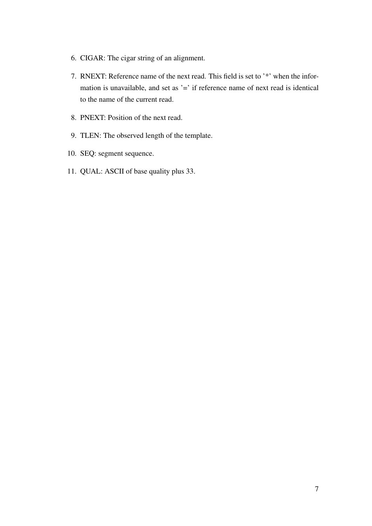- 6. CIGAR: The cigar string of an alignment.
- 7. RNEXT: Reference name of the next read. This field is set to '\*' when the information is unavailable, and set as '=' if reference name of next read is identical to the name of the current read.
- 8. PNEXT: Position of the next read.
- 9. TLEN: The observed length of the template.
- 10. SEQ: segment sequence.
- 11. QUAL: ASCII of base quality plus 33.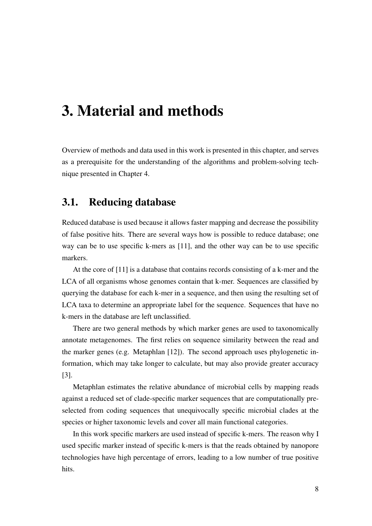## 3. Material and methods

Overview of methods and data used in this work is presented in this chapter, and serves as a prerequisite for the understanding of the algorithms and problem-solving technique presented in Chapter 4.

## 3.1. Reducing database

Reduced database is used because it allows faster mapping and decrease the possibility of false positive hits. There are several ways how is possible to reduce database; one way can be to use specific k-mers as [11], and the other way can be to use specific markers.

At the core of [11] is a database that contains records consisting of a k-mer and the LCA of all organisms whose genomes contain that k-mer. Sequences are classified by querying the database for each k-mer in a sequence, and then using the resulting set of LCA taxa to determine an appropriate label for the sequence. Sequences that have no k-mers in the database are left unclassified.

There are two general methods by which marker genes are used to taxonomically annotate metagenomes. The first relies on sequence similarity between the read and the marker genes (e.g. Metaphlan [12]). The second approach uses phylogenetic information, which may take longer to calculate, but may also provide greater accuracy [3].

Metaphlan estimates the relative abundance of microbial cells by mapping reads against a reduced set of clade-specific marker sequences that are computationally preselected from coding sequences that unequivocally specific microbial clades at the species or higher taxonomic levels and cover all main functional categories.

In this work specific markers are used instead of specific k-mers. The reason why I used specific marker instead of specific k-mers is that the reads obtained by nanopore technologies have high percentage of errors, leading to a low number of true positive hits.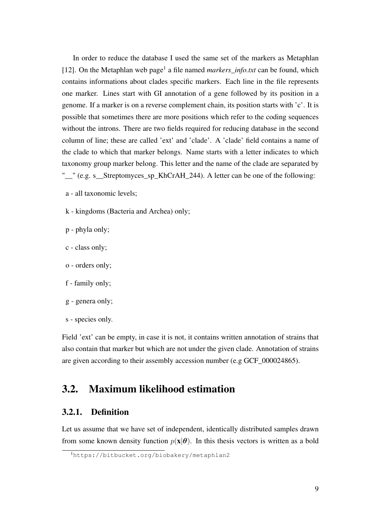In order to reduce the database I used the same set of the markers as Metaphlan [12]. On the Metaphlan web page<sup>1</sup> a file named *markers\_info.txt* can be found, which contains informations about clades specific markers. Each line in the file represents one marker. Lines start with GI annotation of a gene followed by its position in a genome. If a marker is on a reverse complement chain, its position starts with 'c'. It is possible that sometimes there are more positions which refer to the coding sequences without the introns. There are two fields required for reducing database in the second column of line; these are called 'ext' and 'clade'. A 'clade' field contains a name of the clade to which that marker belongs. Name starts with a letter indicates to which taxonomy group marker belong. This letter and the name of the clade are separated by "\_" (e.g. s\_Streptomyces\_sp\_KhCrAH\_244). A letter can be one of the following:

- a all taxonomic levels;
- k kingdoms (Bacteria and Archea) only;
- p phyla only;
- c class only;
- o orders only;
- f family only;
- g genera only;
- s species only.

Field 'ext' can be empty, in case it is not, it contains written annotation of strains that also contain that marker but which are not under the given clade. Annotation of strains are given according to their assembly accession number (e.g GCF\_000024865).

## 3.2. Maximum likelihood estimation

### 3.2.1. Definition

Let us assume that we have set of independent, identically distributed samples drawn from some known density function  $p(x|\theta)$ . In this thesis vectors is written as a bold

<sup>1</sup>https://bitbucket.org/biobakery/metaphlan2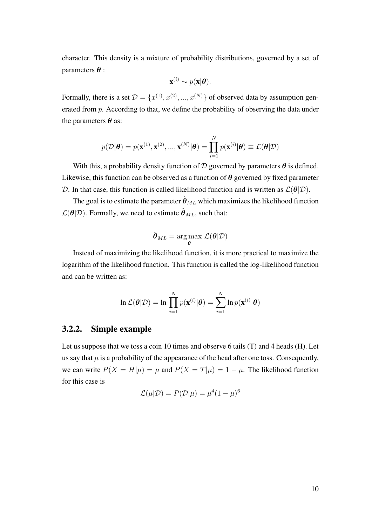character. This density is a mixture of probability distributions, governed by a set of parameters  $\theta$  :

$$
\mathbf{x}^{(i)} \sim p(\mathbf{x}|\boldsymbol{\theta}).
$$

Formally, there is a set  $\mathcal{D} = \{x^{(1)}, x^{(2)}, ..., x^{(N)}\}$  of observed data by assumption generated from  $p$ . According to that, we define the probability of observing the data under the parameters  $\theta$  as:

$$
p(\mathcal{D}|\boldsymbol{\theta}) = p(\mathbf{x}^{(1)}, \mathbf{x}^{(2)}, ..., \mathbf{x}^{(N)}|\boldsymbol{\theta}) = \prod_{i=1}^{N} p(\mathbf{x}^{(i)}|\boldsymbol{\theta}) \equiv \mathcal{L}(\boldsymbol{\theta}|\mathcal{D})
$$

With this, a probability density function of  $D$  governed by parameters  $\theta$  is defined. Likewise, this function can be observed as a function of  $\theta$  governed by fixed parameter D. In that case, this function is called likelihood function and is written as  $\mathcal{L}(\theta|\mathcal{D})$ .

The goal is to estimate the parameter  $\hat{\theta}_{ML}$  which maximizes the likelihood function  $\mathcal{L}(\theta|\mathcal{D})$ . Formally, we need to estimate  $\hat{\theta}_{ML}$ , such that:

$$
\hat{\boldsymbol{\theta}}_{ML} = \argmax_{\boldsymbol{\theta}} \mathcal{L}(\boldsymbol{\theta}|\mathcal{D})
$$

Instead of maximizing the likelihood function, it is more practical to maximize the logarithm of the likelihood function. This function is called the log-likelihood function and can be written as:

$$
\ln \mathcal{L}(\boldsymbol{\theta}|\mathcal{D}) = \ln \prod_{i=1}^{N} p(\mathbf{x}^{(i)}|\boldsymbol{\theta}) = \sum_{i=1}^{N} \ln p(\mathbf{x}^{(i)}|\boldsymbol{\theta})
$$

#### 3.2.2. Simple example

Let us suppose that we toss a coin 10 times and observe 6 tails (T) and 4 heads (H). Let us say that  $\mu$  is a probability of the appearance of the head after one toss. Consequently, we can write  $P(X = H|\mu) = \mu$  and  $P(X = T|\mu) = 1 - \mu$ . The likelihood function for this case is

$$
\mathcal{L}(\mu|\mathcal{D}) = P(\mathcal{D}|\mu) = \mu^4 (1 - \mu)^6
$$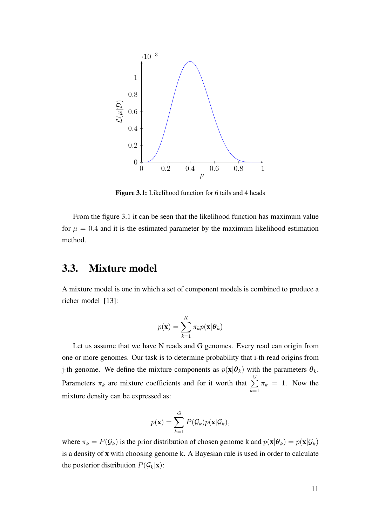

Figure 3.1: Likelihood function for 6 tails and 4 heads

From the figure 3.1 it can be seen that the likelihood function has maximum value for  $\mu = 0.4$  and it is the estimated parameter by the maximum likelihood estimation method.

### 3.3. Mixture model

A mixture model is one in which a set of component models is combined to produce a richer model [13]:

$$
p(\mathbf{x}) = \sum_{k=1}^{K} \pi_k p(\mathbf{x}|\boldsymbol{\theta}_k)
$$

Let us assume that we have N reads and G genomes. Every read can origin from one or more genomes. Our task is to determine probability that i-th read origins from j-th genome. We define the mixture components as  $p(\mathbf{x}|\boldsymbol{\theta}_k)$  with the parameters  $\boldsymbol{\theta}_k$ . Parameters  $\pi_k$  are mixture coefficients and for it worth that  $\sum^G$  $k=1$  $\pi_k = 1$ . Now the mixture density can be expressed as:

$$
p(\mathbf{x}) = \sum_{k=1}^{G} P(\mathcal{G}_k) p(\mathbf{x} | \mathcal{G}_k),
$$

where  $\pi_k = P(\mathcal{G}_k)$  is the prior distribution of chosen genome k and  $p(\mathbf{x}|\boldsymbol{\theta}_k) = p(\mathbf{x}|\mathcal{G}_k)$ is a density of x with choosing genome k. A Bayesian rule is used in order to calculate the posterior distribution  $P(\mathcal{G}_k|\mathbf{x})$ :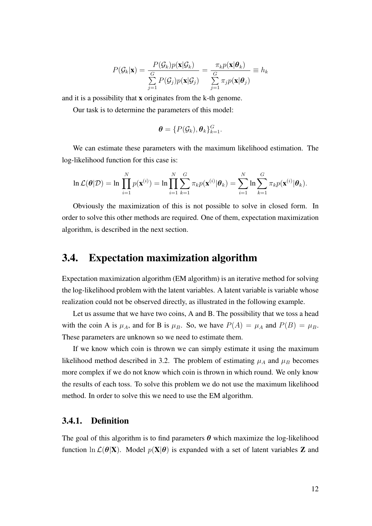$$
P(\mathcal{G}_k|\mathbf{x}) = \frac{P(\mathcal{G}_k)p(\mathbf{x}|\mathcal{G}_k)}{\sum_{j=1}^G P(\mathcal{G}_j)p(\mathbf{x}|\mathcal{G}_j)} = \frac{\pi_k p(\mathbf{x}|\boldsymbol{\theta}_k)}{\sum_{j=1}^G \pi_j p(\mathbf{x}|\boldsymbol{\theta}_j)} \equiv h_k
$$

and it is a possibility that x originates from the k-th genome.

Our task is to determine the parameters of this model:

$$
\boldsymbol{\theta} = \{P(\mathcal{G}_k), \boldsymbol{\theta}_k\}_{k=1}^G.
$$

We can estimate these parameters with the maximum likelihood estimation. The log-likelihood function for this case is:

$$
\ln \mathcal{L}(\boldsymbol{\theta}|\mathcal{D}) = \ln \prod_{i=1}^N p(\mathbf{x}^{(i)}) = \ln \prod_{i=1}^N \sum_{k=1}^G \pi_k p(\mathbf{x}^{(i)}|\boldsymbol{\theta}_k) = \sum_{i=1}^N \ln \sum_{k=1}^G \pi_k p(\mathbf{x}^{(i)}|\boldsymbol{\theta}_k).
$$

Obviously the maximization of this is not possible to solve in closed form. In order to solve this other methods are required. One of them, expectation maximization algorithm, is described in the next section.

### 3.4. Expectation maximization algorithm

Expectation maximization algorithm (EM algorithm) is an iterative method for solving the log-likelihood problem with the latent variables. A latent variable is variable whose realization could not be observed directly, as illustrated in the following example.

Let us assume that we have two coins, A and B. The possibility that we toss a head with the coin A is  $\mu_A$ , and for B is  $\mu_B$ . So, we have  $P(A) = \mu_A$  and  $P(B) = \mu_B$ . These parameters are unknown so we need to estimate them.

If we know which coin is thrown we can simply estimate it using the maximum likelihood method described in 3.2. The problem of estimating  $\mu_A$  and  $\mu_B$  becomes more complex if we do not know which coin is thrown in which round. We only know the results of each toss. To solve this problem we do not use the maximum likelihood method. In order to solve this we need to use the EM algorithm.

#### 3.4.1. Definition

The goal of this algorithm is to find parameters  $\theta$  which maximize the log-likelihood function  $\ln \mathcal{L}(\theta|\mathbf{X})$ . Model  $p(\mathbf{X}|\theta)$  is expanded with a set of latent variables **Z** and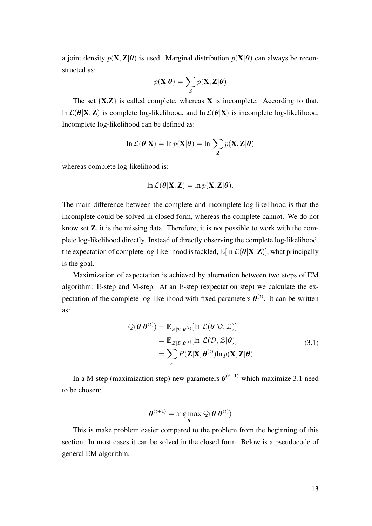a joint density  $p(\mathbf{X}, \mathbf{Z}|\boldsymbol{\theta})$  is used. Marginal distribution  $p(\mathbf{X}|\boldsymbol{\theta})$  can always be reconstructed as:

$$
p(\mathbf{X}|\boldsymbol{\theta}) = \sum_{Z} p(\mathbf{X}, \mathbf{Z}|\boldsymbol{\theta})
$$

The set  $\{X, Z\}$  is called complete, whereas  $X$  is incomplete. According to that, ln  $\mathcal{L}(\theta|\mathbf{X},\mathbf{Z})$  is complete log-likelihood, and ln  $\mathcal{L}(\theta|\mathbf{X})$  is incomplete log-likelihood. Incomplete log-likelihood can be defined as:

$$
\ln \mathcal{L}(\boldsymbol{\theta}|\mathbf{X}) = \ln p(\mathbf{X}|\boldsymbol{\theta}) = \ln \sum_{\mathbf{Z}} p(\mathbf{X}, \mathbf{Z}|\boldsymbol{\theta})
$$

whereas complete log-likelihood is:

$$
\ln \mathcal{L}(\boldsymbol{\theta}|\mathbf{X}, \mathbf{Z}) = \ln p(\mathbf{X}, \mathbf{Z}|\boldsymbol{\theta}).
$$

The main difference between the complete and incomplete log-likelihood is that the incomplete could be solved in closed form, whereas the complete cannot. We do not know set Z, it is the missing data. Therefore, it is not possible to work with the complete log-likelihood directly. Instead of directly observing the complete log-likelihood, the expectation of complete log-likelihood is tackled,  $\mathbb{E}[\ln \mathcal{L}(\theta|\mathbf{X},\mathbf{Z})]$ , what principally is the goal.

Maximization of expectation is achieved by alternation between two steps of EM algorithm: E-step and M-step. At an E-step (expectation step) we calculate the expectation of the complete log-likelihood with fixed parameters  $\theta^{(t)}$ . It can be written as:

$$
\mathcal{Q}(\theta|\theta^{(t)}) = \mathbb{E}_{\mathcal{Z}|\mathcal{D},\theta^{(t)}}[\ln \mathcal{L}(\theta|\mathcal{D}, \mathcal{Z})]
$$
  
\n
$$
= \mathbb{E}_{\mathcal{Z}|\mathcal{D},\theta^{(t)}}[\ln \mathcal{L}(\mathcal{D}, \mathcal{Z}|\theta)]
$$
  
\n
$$
= \sum_{Z} P(\mathbf{Z}|\mathbf{X}, \theta^{(t)}) \ln p(\mathbf{X}, \mathbf{Z}|\theta)
$$
\n(3.1)

In a M-step (maximization step) new parameters  $\boldsymbol{\theta}^{(t+1)}$  which maximize 3.1 need to be chosen:

$$
\boldsymbol{\theta}^{(t+1)} = \argmax_{\boldsymbol{\theta}} \mathcal{Q}(\boldsymbol{\theta}|\boldsymbol{\theta}^{(t)})
$$

This is make problem easier compared to the problem from the beginning of this section. In most cases it can be solved in the closed form. Below is a pseudocode of general EM algorithm.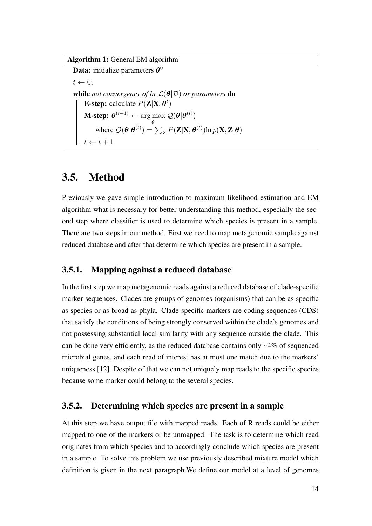#### Algorithm 1: General EM algorithm

**Data:** initialize parameters  $\boldsymbol{\theta}^0$  $t \leftarrow 0$ : while *not convergency of ln*  $\mathcal{L}(\theta|\mathcal{D})$  *or parameters* **do E-step:** calculate  $P(Z|X, \theta^t)$  $\textbf{M-step:}~\boldsymbol{\theta}^{(t+1)} \leftarrow \argmax \mathcal{Q}(\boldsymbol{\theta}|\boldsymbol{\theta}^{(t)})$ θ where  $\mathcal{Q}(\bm{\theta}|\bm{\theta}^{(t)})=\sum_{Z}P(\mathbf{Z}|\mathbf{X},\bm{\theta}^{(t)})\text{ln}\,p(\mathbf{X},\mathbf{Z}|\bm{\theta})$  $t \leftarrow t + 1$ 

### 3.5. Method

Previously we gave simple introduction to maximum likelihood estimation and EM algorithm what is necessary for better understanding this method, especially the second step where classifier is used to determine which species is present in a sample. There are two steps in our method. First we need to map metagenomic sample against reduced database and after that determine which species are present in a sample.

#### 3.5.1. Mapping against a reduced database

In the first step we map metagenomic reads against a reduced database of clade-specific marker sequences. Clades are groups of genomes (organisms) that can be as specific as species or as broad as phyla. Clade-specific markers are coding sequences (CDS) that satisfy the conditions of being strongly conserved within the clade's genomes and not possessing substantial local similarity with any sequence outside the clade. This can be done very efficiently, as the reduced database contains only ~4% of sequenced microbial genes, and each read of interest has at most one match due to the markers' uniqueness [12]. Despite of that we can not uniquely map reads to the specific species because some marker could belong to the several species.

### 3.5.2. Determining which species are present in a sample

At this step we have output file with mapped reads. Each of R reads could be either mapped to one of the markers or be unmapped. The task is to determine which read originates from which species and to accordingly conclude which species are present in a sample. To solve this problem we use previously described mixture model which definition is given in the next paragraph.We define our model at a level of genomes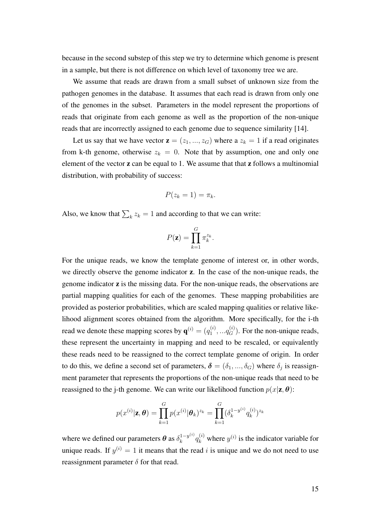because in the second substep of this step we try to determine which genome is present in a sample, but there is not difference on which level of taxonomy tree we are.

We assume that reads are drawn from a small subset of unknown size from the pathogen genomes in the database. It assumes that each read is drawn from only one of the genomes in the subset. Parameters in the model represent the proportions of reads that originate from each genome as well as the proportion of the non-unique reads that are incorrectly assigned to each genome due to sequence similarity [14].

Let us say that we have vector  $z = (z_1, ..., z_G)$  where a  $z_k = 1$  if a read originates from k-th genome, otherwise  $z_k = 0$ . Note that by assumption, one and only one element of the vector **z** can be equal to 1. We assume that that **z** follows a multinomial distribution, with probability of success:

$$
P(z_k=1)=\pi_k.
$$

Also, we know that  $\sum_k z_k = 1$  and according to that we can write:

$$
P(\mathbf{z}) = \prod_{k=1}^{G} \pi_k^{z_k}.
$$

For the unique reads, we know the template genome of interest or, in other words, we directly observe the genome indicator z. In the case of the non-unique reads, the genome indicator z is the missing data. For the non-unique reads, the observations are partial mapping qualities for each of the genomes. These mapping probabilities are provided as posterior probabilities, which are scaled mapping qualities or relative likelihood alignment scores obtained from the algorithm. More specifically, for the i-th read we denote these mapping scores by  $\mathbf{q}^{(i)} = (q_1^{(i)})$  $a_1^{(i)}, \ldots, a_G^{(i)}$ . For the non-unique reads, these represent the uncertainty in mapping and need to be rescaled, or equivalently these reads need to be reassigned to the correct template genome of origin. In order to do this, we define a second set of parameters,  $\boldsymbol{\delta} = (\delta_1, ..., \delta_G)$  where  $\delta_j$  is reassignment parameter that represents the proportions of the non-unique reads that need to be reassigned to the j-th genome. We can write our likelihood function  $p(x|\mathbf{z}, \boldsymbol{\theta})$ :

$$
p(x^{(i)}|\mathbf{z}, \boldsymbol{\theta}) = \prod_{k=1}^{G} p(x^{(i)}|\boldsymbol{\theta}_k)^{z_k} = \prod_{k=1}^{G} (\delta_k^{1-y^{(i)}}q_k^{(i)})^{z_k}
$$

where we defined our parameters  $\boldsymbol{\theta}$  as  $\delta_k^{1-y^{(i)}}$  $\int_k^{1-y^{(i)}} q_k^{(i)}$  where  $y^{(i)}$  is the indicator variable for unique reads. If  $y^{(i)} = 1$  it means that the read i is unique and we do not need to use reassignment parameter  $\delta$  for that read.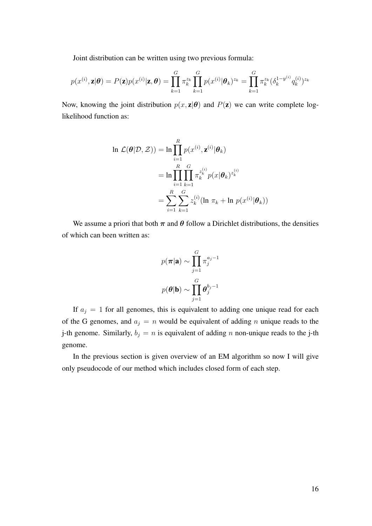Joint distribution can be written using two previous formula:

$$
p(x^{(i)}, \mathbf{z}|\boldsymbol{\theta}) = P(\mathbf{z})p(x^{(i)}|\mathbf{z}, \boldsymbol{\theta}) = \prod_{k=1}^{G} \pi_k^{z_k} \prod_{k=1}^{G} p(x^{(i)}|\boldsymbol{\theta}_k)^{z_k} = \prod_{k=1}^{G} \pi_k^{z_k} (\delta_k^{1-y^{(i)}} q_k^{(i)})^{z_k}
$$

Now, knowing the joint distribution  $p(x, z | \theta)$  and  $P(z)$  we can write complete loglikelihood function as:

$$
\ln \mathcal{L}(\theta|\mathcal{D}, \mathcal{Z})) = \ln \prod_{i=1}^{R} p(x^{(i)}, \mathbf{z}^{(i)} | \theta_k)
$$
  
= 
$$
\ln \prod_{i=1}^{R} \prod_{k=1}^{G} \pi_k^{z_k^{(i)}} p(x | \theta_k)^{z_k^{(i)}}
$$
  
= 
$$
\sum_{i=1}^{R} \sum_{k=1}^{G} z_k^{(i)} (\ln \pi_k + \ln p(x^{(i)} | \theta_k))
$$

We assume a priori that both  $\pi$  and  $\theta$  follow a Dirichlet distributions, the densities of which can been written as:

$$
p(\boldsymbol{\pi}|\mathbf{a}) \sim \prod_{j=1}^{G} \pi_j^{a_j - 1}
$$

$$
p(\boldsymbol{\theta}|\mathbf{b}) \sim \prod_{j=1}^{G} \boldsymbol{\theta}_j^{b_j - 1}
$$

If  $a_j = 1$  for all genomes, this is equivalent to adding one unique read for each of the G genomes, and  $a_j = n$  would be equivalent of adding n unique reads to the j-th genome. Similarly,  $b_j = n$  is equivalent of adding n non-unique reads to the j-th genome.

In the previous section is given overview of an EM algorithm so now I will give only pseudocode of our method which includes closed form of each step.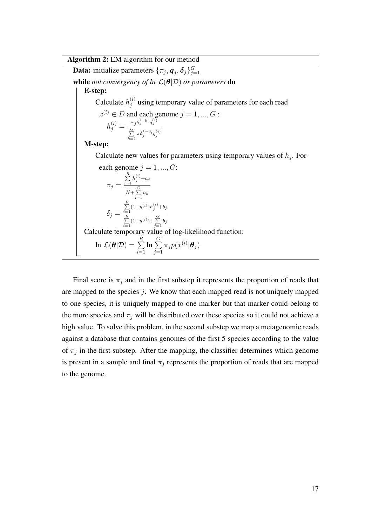#### Algorithm 2: EM algorithm for our method

**Data:** initialize parameters  $\{\pi_j, \bm{q}_j, \bm{\delta}_j\}_{j=1}^G$ while *not convergency of ln*  $\mathcal{L}(\theta|\mathcal{D})$  *or parameters* do E-step: Calculate  $h_i^{(i)}$  $j^{(i)}$  using temporary value of parameters for each read  $x^{(i)} \in D$  and each genome  $j = 1, ..., G$ :  $h_j^{(i)} = \frac{\pi_j \delta_j^{1-y_i} q_j^{(i)}}{\sum\limits_{j}^{G} \pi \delta_j^{1-y_i} q_j^{(i)}}$  $k=1$ M-step: Calculate new values for parameters using temporary values of  $h_j$ . For each genome  $j = 1, ..., G$ :  $\pi_j =$  $\sum_{i=1}^{R} h_j^{(i)} + a_j$  $N+\sum_{j=1}^G a_k$  $\delta_j =$  $\sum_{i=1}^{R} (1-y^{(i)}) h_j^{(i)} + b_j$  $\sum_{i=1}^{R} (1-y^{(i)}) + \sum_{j=1}^{G} b_j$ Calculate temporary value of log-likelihood function: ln  $\mathcal{L}(\boldsymbol{\theta}|\mathcal{D}) = \sum^R$  $i=1$  $\ln \sum_{i=1}^{n}$  $j=1$  $\pi_j p(x^{(i)} | \boldsymbol{\theta}_j)$ 

Final score is  $\pi_j$  and in the first substep it represents the proportion of reads that are mapped to the species  $j$ . We know that each mapped read is not uniquely mapped to one species, it is uniquely mapped to one marker but that marker could belong to the more species and  $\pi_j$  will be distributed over these species so it could not achieve a high value. To solve this problem, in the second substep we map a metagenomic reads against a database that contains genomes of the first 5 species according to the value of  $\pi_j$  in the first substep. After the mapping, the classifier determines which genome is present in a sample and final  $\pi_j$  represents the proportion of reads that are mapped to the genome.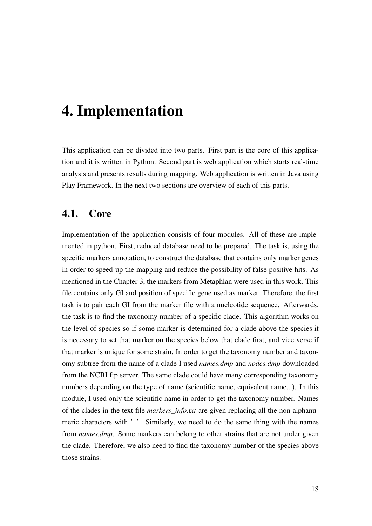## 4. Implementation

This application can be divided into two parts. First part is the core of this application and it is written in Python. Second part is web application which starts real-time analysis and presents results during mapping. Web application is written in Java using Play Framework. In the next two sections are overview of each of this parts.

### 4.1. Core

Implementation of the application consists of four modules. All of these are implemented in python. First, reduced database need to be prepared. The task is, using the specific markers annotation, to construct the database that contains only marker genes in order to speed-up the mapping and reduce the possibility of false positive hits. As mentioned in the Chapter 3, the markers from Metaphlan were used in this work. This file contains only GI and position of specific gene used as marker. Therefore, the first task is to pair each GI from the marker file with a nucleotide sequence. Afterwards, the task is to find the taxonomy number of a specific clade. This algorithm works on the level of species so if some marker is determined for a clade above the species it is necessary to set that marker on the species below that clade first, and vice verse if that marker is unique for some strain. In order to get the taxonomy number and taxonomy subtree from the name of a clade I used *names.dmp* and *nodes.dmp* downloaded from the NCBI ftp server. The same clade could have many corresponding taxonomy numbers depending on the type of name (scientific name, equivalent name...). In this module, I used only the scientific name in order to get the taxonomy number. Names of the clades in the text file *markers\_info.txt* are given replacing all the non alphanumeric characters with ''. Similarly, we need to do the same thing with the names from *names.dmp*. Some markers can belong to other strains that are not under given the clade. Therefore, we also need to find the taxonomy number of the species above those strains.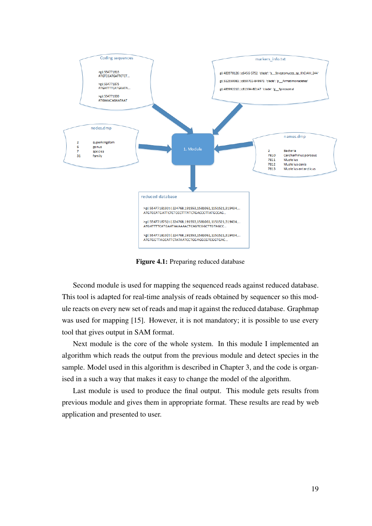

Figure 4.1: Preparing reduced database

Second module is used for mapping the sequenced reads against reduced database. This tool is adapted for real-time analysis of reads obtained by sequencer so this module reacts on every new set of reads and map it against the reduced database. Graphmap was used for mapping [15]. However, it is not mandatory; it is possible to use every tool that gives output in SAM format.

Next module is the core of the whole system. In this module I implemented an algorithm which reads the output from the previous module and detect species in the sample. Model used in this algorithm is described in Chapter 3, and the code is organised in a such a way that makes it easy to change the model of the algorithm.

Last module is used to produce the final output. This module gets results from previous module and gives them in appropriate format. These results are read by web application and presented to user.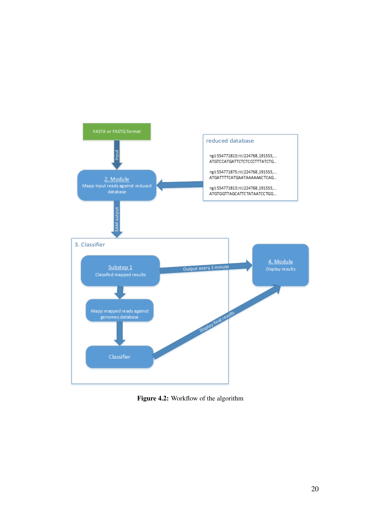

Figure 4.2: Workflow of the algorithm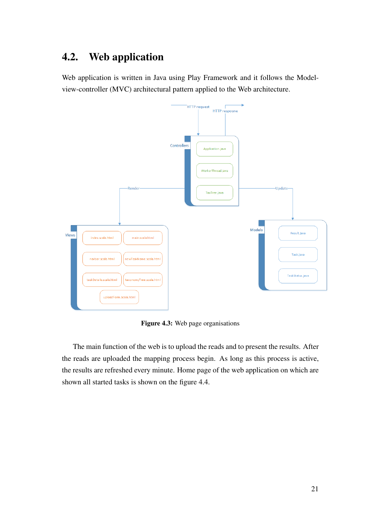## 4.2. Web application

Web application is written in Java using Play Framework and it follows the Modelview-controller (MVC) architectural pattern applied to the Web architecture.



Figure 4.3: Web page organisations

The main function of the web is to upload the reads and to present the results. After the reads are uploaded the mapping process begin. As long as this process is active, the results are refreshed every minute. Home page of the web application on which are shown all started tasks is shown on the figure 4.4.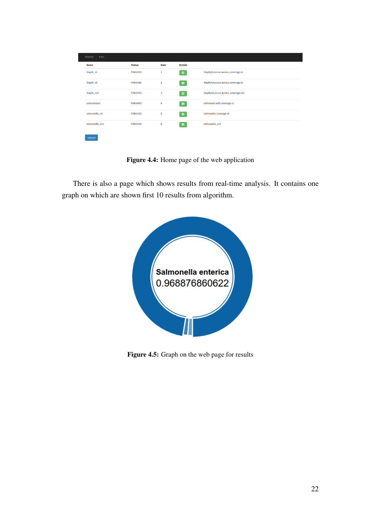| Home<br>Files  |                 |                |                |                                     |
|----------------|-----------------|----------------|----------------|-------------------------------------|
| <b>Name</b>    | <b>Status</b>   | <b>Date</b>    | <b>Details</b> |                                     |
| Staphi_x1      | <b>FINISHED</b> | 1              | $\equiv$       | Staphylococcus aureus, coverage x1  |
| Staphi_x5      | <b>FINISHED</b> | $\overline{2}$ | $\equiv$       | Staphylococcus aureus, coverage x5  |
| Staphi_x10     | <b>FINISHED</b> | 3              | $\equiv$       | Staphylococcus aureus, coverage x10 |
| salmonelax1    | <b>FINISHED</b> | 4              | $\equiv$       | salmonela with coverage x1          |
| salmonella_x5. | <b>FINISHED</b> | 5              | $\equiv$       | salmonella coverage x5              |
| salmonella_x10 | <b>FINISHED</b> | 6              | 畫              | salmonella_x10                      |
| Upload         |                 |                |                |                                     |

Figure 4.4: Home page of the web application

There is also a page which shows results from real-time analysis. It contains one graph on which are shown first 10 results from algorithm.



Figure 4.5: Graph on the web page for results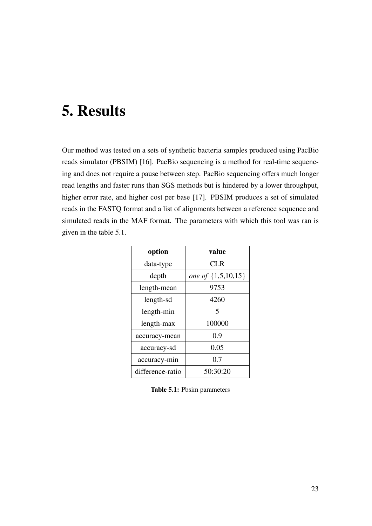## 5. Results

Our method was tested on a sets of synthetic bacteria samples produced using PacBio reads simulator (PBSIM) [16]. PacBio sequencing is a method for real-time sequencing and does not require a pause between step. PacBio sequencing offers much longer read lengths and faster runs than SGS methods but is hindered by a lower throughput, higher error rate, and higher cost per base [17]. PBSIM produces a set of simulated reads in the FASTQ format and a list of alignments between a reference sequence and simulated reads in the MAF format. The parameters with which this tool was ran is given in the table 5.1.

| option           | value              |  |
|------------------|--------------------|--|
| data-type        | CL R               |  |
| depth            | one of {1,5,10,15} |  |
| length-mean      | 9753               |  |
| length-sd        | 4260               |  |
| length-min       | 5                  |  |
| length-max       | 100000             |  |
| accuracy-mean    | 0.9                |  |
| accuracy-sd      | 0.05               |  |
| accuracy-min     | 0.7                |  |
| difference-ratio | 50:30:20           |  |

Table 5.1: Pbsim parameters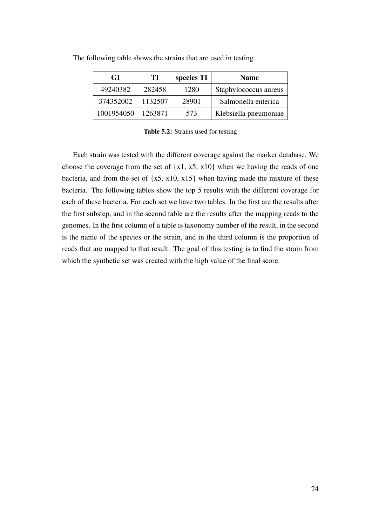| GI         | ТI      | species TI | <b>Name</b>           |
|------------|---------|------------|-----------------------|
| 49240382   | 282458  | 1280       | Staphylococcus aureus |
| 374352002  | 1132507 | 28901      | Salmonella enterica   |
| 1001954050 | 1263871 | 573        | Klebsiella pneumoniae |

The following table shows the strains that are used in testing.

Table 5.2: Strains used for testing

Each strain was tested with the different coverage against the marker database. We choose the coverage from the set of  $\{x1, x5, x10\}$  when we having the reads of one bacteria, and from the set of  $\{x5, x10, x15\}$  when having made the mixture of these bacteria. The following tables show the top 5 results with the different coverage for each of these bacteria. For each set we have two tables. In the first are the results after the first substep, and in the second table are the results after the mapping reads to the genomes. In the first column of a table is taxonomy number of the result, in the second is the name of the species or the strain, and in the third column is the proportion of reads that are mapped to that result. The goal of this testing is to find the strain from which the synthetic set was created with the high value of the final score.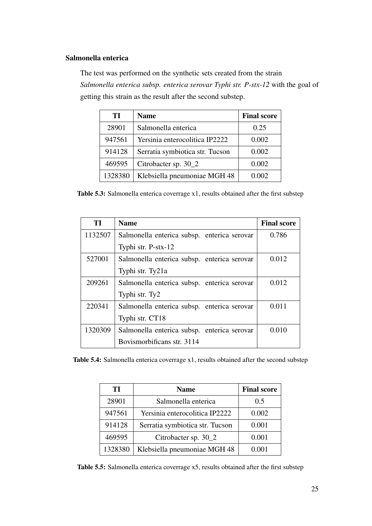#### Salmonella enterica

The test was performed on the synthetic sets created from the strain *Salmonella enterica subsp. enterica serovar Typhi str. P-stx-12* with the goal of getting this strain as the result after the second substep.

| TІ      | <b>Name</b>                     | <b>Final score</b> |
|---------|---------------------------------|--------------------|
| 28901   | Salmonella enterica             | 0.25               |
| 947561  | Yersinia enterocolitica IP2222  | 0.002              |
| 914128  | Serratia symbiotica str. Tucson | 0.002              |
| 469595  | Citrobacter sp. 30_2            | 0.002              |
| 1328380 | Klebsiella pneumoniae MGH 48    | 0.002              |

Table 5.3: Salmonella enterica coverrage x1, results obtained after the first substep

| TI      | <b>Name</b>                                 | <b>Final score</b> |
|---------|---------------------------------------------|--------------------|
| 1132507 | Salmonella enterica subsp. enterica serovar | 0.786              |
|         | Typhi str. P-stx-12                         |                    |
| 527001  | Salmonella enterica subsp. enterica serovar | 0.012              |
|         | Typhi str. Ty21a                            |                    |
| 209261  | Salmonella enterica subsp. enterica serovar | 0.012              |
|         | Typhi str. Ty2                              |                    |
| 220341  | Salmonella enterica subsp. enterica serovar | 0.011              |
|         | Typhi str. CT18                             |                    |
| 1320309 | Salmonella enterica subsp. enterica serovar | 0.010              |
|         | Bovismorbificans str. 3114                  |                    |

Table 5.4: Salmonella enterica coverrage x1, results obtained after the second substep

| TІ      | <b>Name</b>                     | <b>Final score</b> |
|---------|---------------------------------|--------------------|
| 28901   | Salmonella enterica             | 0.5                |
| 947561  | Yersinia enterocolitica IP2222  | 0.002              |
| 914128  | Serratia symbiotica str. Tucson | 0.001              |
| 469595  | Citrobacter sp. 30_2            | 0.001              |
| 1328380 | Klebsiella pneumoniae MGH 48    | 0.001              |

Table 5.5: Salmonella enterica coverrage x5, results obtained after the first substep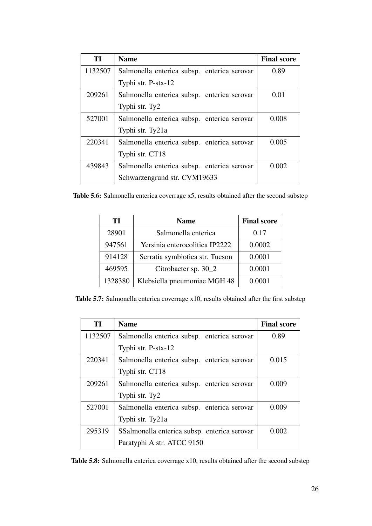| TI      | <b>Name</b>                                 | <b>Final score</b> |
|---------|---------------------------------------------|--------------------|
| 1132507 | Salmonella enterica subsp. enterica serovar | 0.89               |
|         | Typhi str. P-stx-12                         |                    |
| 209261  | Salmonella enterica subsp. enterica serovar | 0.01               |
|         | Typhi str. Ty2                              |                    |
| 527001  | Salmonella enterica subsp. enterica serovar | 0.008              |
|         | Typhi str. Ty21a                            |                    |
| 220341  | Salmonella enterica subsp. enterica serovar | 0.005              |
|         | Typhi str. CT18                             |                    |
| 439843  | Salmonella enterica subsp. enterica serovar | 0.002              |
|         | Schwarzengrund str. CVM19633                |                    |

Table 5.6: Salmonella enterica coverrage x5, results obtained after the second substep

| TІ      | <b>Name</b>                     | <b>Final score</b> |
|---------|---------------------------------|--------------------|
| 28901   | Salmonella enterica             | 0.17               |
| 947561  | Yersinia enterocolitica IP2222  | 0.0002             |
| 914128  | Serratia symbiotica str. Tucson | 0.0001             |
| 469595  | Citrobacter sp. 30_2            | 0.0001             |
| 1328380 | Klebsiella pneumoniae MGH 48    | 0.0001             |

Table 5.7: Salmonella enterica coverrage x10, results obtained after the first substep

| TI      | <b>Name</b>                                  | <b>Final score</b> |
|---------|----------------------------------------------|--------------------|
| 1132507 | Salmonella enterica subsp. enterica serovar  | 0.89               |
|         | Typhi str. P-stx-12                          |                    |
| 220341  | Salmonella enterica subsp. enterica serovar  | 0.015              |
|         | Typhi str. CT18                              |                    |
| 209261  | Salmonella enterica subsp. enterica serovar  | 0.009              |
|         | Typhi str. Ty2                               |                    |
| 527001  | Salmonella enterica subsp. enterica serovar  | 0.009              |
|         | Typhi str. Ty21a                             |                    |
| 295319  | SSalmonella enterica subsp. enterica serovar | 0.002              |
|         | Paratyphi A str. ATCC 9150                   |                    |

Table 5.8: Salmonella enterica coverrage x10, results obtained after the second substep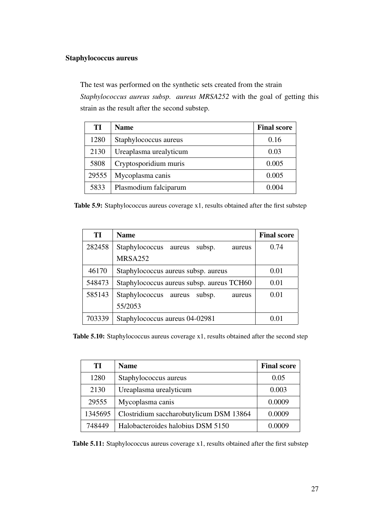#### Staphylococcus aureus

The test was performed on the synthetic sets created from the strain

*Staphylococcus aureus subsp. aureus MRSA252* with the goal of getting this strain as the result after the second substep.

| TI    | <b>Name</b>            | <b>Final score</b> |
|-------|------------------------|--------------------|
| 1280  | Staphylococcus aureus  | 0.16               |
| 2130  | Ureaplasma urealyticum | 0.03               |
| 5808  | Cryptosporidium muris  | 0.005              |
| 29555 | Mycoplasma canis       | 0.005              |
| 5833  | Plasmodium falciparum  | 0.004              |

Table 5.9: Staphylococcus aureus coverage x1, results obtained after the first substep

| TI     | <b>Name</b>                                  | <b>Final score</b> |
|--------|----------------------------------------------|--------------------|
| 282458 | Staphylococcus aureus<br>subsp.<br>aureus    | 0.74               |
|        | MRSA252                                      |                    |
| 46170  | Staphylococcus aureus subsp. aureus          | 0.01               |
| 548473 | Staphylococcus aureus subsp. aureus TCH60    | 0.01               |
| 585143 | Staphylococcus<br>subsp.<br>aureus<br>aureus | 0.01               |
|        | 55/2053                                      |                    |
| 703339 | Staphylococcus aureus 04-02981               | 0.01               |

Table 5.10: Staphylococcus aureus coverage x1, results obtained after the second step

| TІ      | <b>Name</b>                             | <b>Final score</b> |
|---------|-----------------------------------------|--------------------|
| 1280    | Staphylococcus aureus                   | 0.05               |
| 2130    | Ureaplasma urealyticum                  | 0.003              |
| 29555   | Mycoplasma canis                        | 0.0009             |
| 1345695 | Clostridium saccharobutylicum DSM 13864 | 0.0009             |
| 748449  | Halobacteroides halobius DSM 5150       | 0.0009             |

Table 5.11: Staphylococcus aureus coverage x1, results obtained after the first substep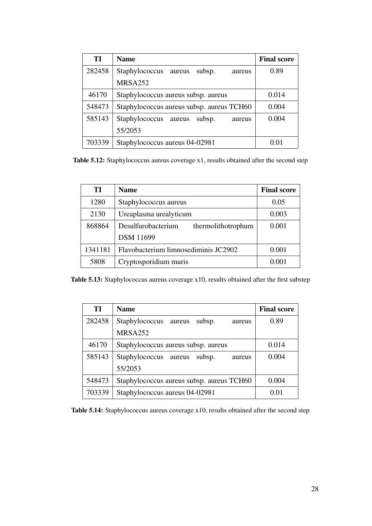| TI     | <b>Name</b>                               | <b>Final score</b> |
|--------|-------------------------------------------|--------------------|
| 282458 | Staphylococcus aureus<br>subsp.<br>aureus | 0.89               |
|        | <b>MRSA252</b>                            |                    |
| 46170  | Staphylococcus aureus subsp. aureus       | 0.014              |
| 548473 | Staphylococcus aureus subsp. aureus TCH60 | 0.004              |
| 585143 | Staphylococcus aureus<br>subsp.<br>aureus | 0.004              |
|        | 55/2053                                   |                    |
| 703339 | Staphylococcus aureus 04-02981            | 0.01               |

Table 5.12: Staphylococcus aureus coverage x1, results obtained after the second step

| TI      | <b>Name</b>                              | <b>Final score</b> |
|---------|------------------------------------------|--------------------|
| 1280    | Staphylococcus aureus                    | 0.05               |
| 2130    | Ureaplasma urealyticum                   | 0.003              |
| 868864  | Desulfurobacterium<br>thermolithotrophum | 0.001              |
|         | <b>DSM</b> 11699                         |                    |
| 1341181 | Flavobacterium limnosediminis JC2902     | 0.001              |
| 5808    | Cryptosporidium muris                    | 0.001              |

Table 5.13: Staphylococcus aureus coverage x10, results obtained after the first substep

| TI     | <b>Name</b>                               | <b>Final score</b> |
|--------|-------------------------------------------|--------------------|
| 282458 | Staphylococcus aureus<br>subsp.<br>aureus | 0.89               |
|        | MRSA252                                   |                    |
| 46170  | Staphylococcus aureus subsp. aureus       | 0.014              |
| 585143 | Staphylococcus aureus<br>subsp.<br>aureus | 0.004              |
|        | 55/2053                                   |                    |
| 548473 | Staphylococcus aureus subsp. aureus TCH60 | 0.004              |
| 703339 | Staphylococcus aureus 04-02981            | 0.01               |

Table 5.14: Staphylococcus aureus coverage x10, results obtained after the second step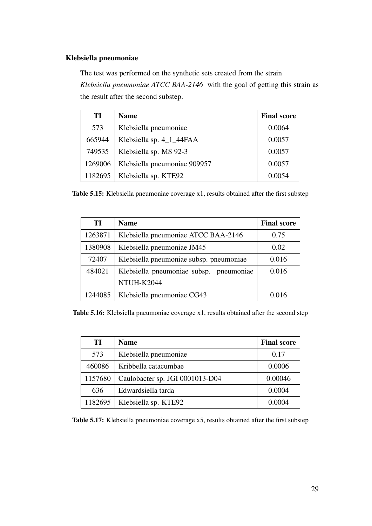#### Klebsiella pneumoniae

The test was performed on the synthetic sets created from the strain *Klebsiella pneumoniae ATCC BAA-2146* with the goal of getting this strain as the result after the second substep.

| TI      | <b>Name</b>                  | <b>Final score</b> |
|---------|------------------------------|--------------------|
| 573     | Klebsiella pneumoniae        | 0.0064             |
| 665944  | Klebsiella sp. 4_1_44FAA     | 0.0057             |
| 749535  | Klebsiella sp. MS 92-3       | 0.0057             |
| 1269006 | Klebsiella pneumoniae 909957 | 0.0057             |
| 1182695 | Klebsiella sp. KTE92         | 0.0054             |

Table 5.15: Klebsiella pneumoniae coverage x1, results obtained after the first substep

| TI      | <b>Name</b>                             | <b>Final score</b> |
|---------|-----------------------------------------|--------------------|
| 1263871 | Klebsiella pneumoniae ATCC BAA-2146     | 0.75               |
| 1380908 | Klebsiella pneumoniae JM45              | 0.02               |
| 72407   | Klebsiella pneumoniae subsp. pneumoniae | 0.016              |
| 484021  | Klebsiella pneumoniae subsp. pneumoniae | 0.016              |
|         | NTUH-K2044                              |                    |
| 1244085 | Klebsiella pneumoniae CG43              | 0.016              |

Table 5.16: Klebsiella pneumoniae coverage x1, results obtained after the second step

| TI T    | <b>Name</b>                     | <b>Final score</b> |
|---------|---------------------------------|--------------------|
| 573     | Klebsiella pneumoniae           | 0.17               |
| 460086  | Kribbella catacumbae            | 0.0006             |
| 1157680 | Caulobacter sp. JGI 0001013-D04 | 0.00046            |
| 636     | Edwardsiella tarda              | 0.0004             |
| 1182695 | Klebsiella sp. KTE92            | 0.0004             |

Table 5.17: Klebsiella pneumoniae coverage x5, results obtained after the first substep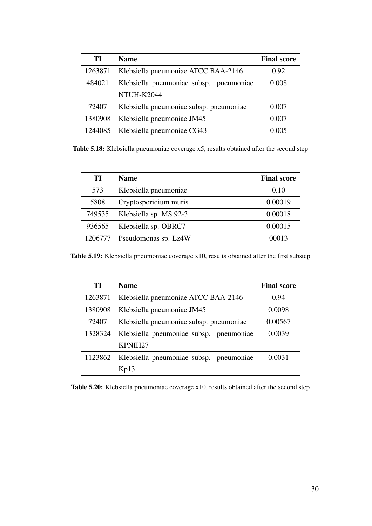| TI      | <b>Name</b>                             | <b>Final score</b> |
|---------|-----------------------------------------|--------------------|
| 1263871 | Klebsiella pneumoniae ATCC BAA-2146     | 0.92               |
| 484021  | Klebsiella pneumoniae subsp. pneumoniae | 0.008              |
|         | NTUH-K2044                              |                    |
| 72407   | Klebsiella pneumoniae subsp. pneumoniae | 0.007              |
| 1380908 | Klebsiella pneumoniae JM45              | 0.007              |
| 1244085 | Klebsiella pneumoniae CG43              | 0.005              |

Table 5.18: Klebsiella pneumoniae coverage x5, results obtained after the second step

| TІ      | <b>Name</b>            | <b>Final score</b> |
|---------|------------------------|--------------------|
| 573     | Klebsiella pneumoniae  | 0.10               |
| 5808    | Cryptosporidium muris  | 0.00019            |
| 749535  | Klebsiella sp. MS 92-3 | 0.00018            |
| 936565  | Klebsiella sp. OBRC7   | 0.00015            |
| 1206777 | Pseudomonas sp. Lz4W   | 00013              |

Table 5.19: Klebsiella pneumoniae coverage x10, results obtained after the first substep

| TI      | <b>Name</b>                             | <b>Final score</b> |
|---------|-----------------------------------------|--------------------|
| 1263871 | Klebsiella pneumoniae ATCC BAA-2146     | 0.94               |
| 1380908 | Klebsiella pneumoniae JM45              | 0.0098             |
| 72407   | Klebsiella pneumoniae subsp. pneumoniae | 0.00567            |
| 1328324 | Klebsiella pneumoniae subsp. pneumoniae | 0.0039             |
|         | KPNIH <sub>27</sub>                     |                    |
| 1123862 | Klebsiella pneumoniae subsp. pneumoniae | 0.0031             |
|         | Kp13                                    |                    |

Table 5.20: Klebsiella pneumoniae coverage x10, results obtained after the second step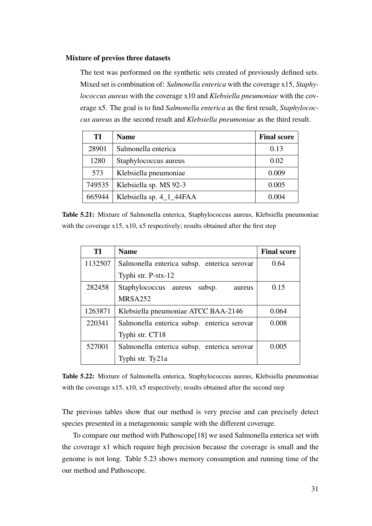#### Mixture of previos three datasets

The test was performed on the synthetic sets created of previously defined sets. Mixed set is combination of: *Salmonella enterica* with the coverage x15, *Staphylococcus aureus* with the coverage x10 and *Klebsiella pneumoniae* with the coverage x5. The goal is to find *Salmonella enterica* as the first result, *Staphylococcus aureus* as the second result and *Klebsiella pneumoniae* as the third result.

| TІ     | <b>Name</b>              | <b>Final score</b> |
|--------|--------------------------|--------------------|
| 28901  | Salmonella enterica      | 0.13               |
| 1280   | Staphylococcus aureus    | 0.02               |
| 573    | Klebsiella pneumoniae    | 0.009              |
| 749535 | Klebsiella sp. MS 92-3   | 0.005              |
| 665944 | Klebsiella sp. 4_1_44FAA | 0.004              |

Table 5.21: Mixture of Salmonella enterica, Staphylococcus aureus, Klebsiella pneumoniae with the coverage x15, x10, x5 respectively; results obtained after the first step

| TI      | <b>Name</b>                                 | <b>Final score</b> |
|---------|---------------------------------------------|--------------------|
| 1132507 | Salmonella enterica subsp. enterica serovar | 0.64               |
|         | Typhi str. P-stx-12                         |                    |
| 282458  | Staphylococcus aureus<br>subsp.<br>aureus   | 0.15               |
|         | MRSA252                                     |                    |
| 1263871 | Klebsiella pneumoniae ATCC BAA-2146         | 0.064              |
| 220341  | Salmonella enterica subsp. enterica serovar | 0.008              |
|         | Typhi str. CT18                             |                    |
| 527001  | Salmonella enterica subsp. enterica serovar | 0.005              |
|         | Typhi str. Ty21a                            |                    |

Table 5.22: Mixture of Salmonella enterica, Staphylococcus aureus, Klebsiella pneumoniae with the coverage x15, x10, x5 respectively; results obtained after the second step

The previous tables show that our method is very precise and can precisely detect species presented in a metagenomic sample with the different coverage.

To compare our method with Pathoscope[18] we used Salmonella enterica set with the coverage x1 which require high precision because the coverage is small and the genome is not long. Table 5.23 shows memory consumption and running time of the our method and Pathoscope.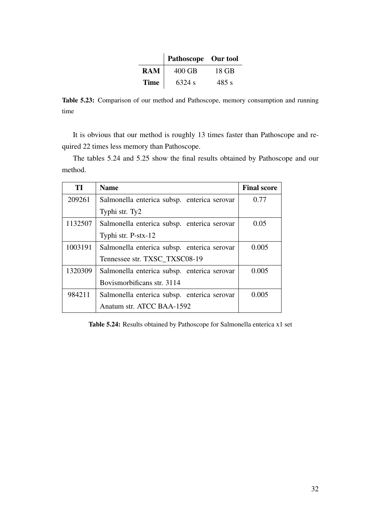|             | Pathoscope Our tool |       |
|-------------|---------------------|-------|
| <b>RAM</b>  | $400$ GB            | 18 GB |
| <b>Time</b> | 6324 s              | 485 s |

Table 5.23: Comparison of our method and Pathoscope, memory consumption and running time

It is obvious that our method is roughly 13 times faster than Pathoscope and required 22 times less memory than Pathoscope.

The tables 5.24 and 5.25 show the final results obtained by Pathoscope and our method.

| TI      | <b>Name</b>                                 | <b>Final score</b> |
|---------|---------------------------------------------|--------------------|
| 209261  | Salmonella enterica subsp. enterica serovar | 0.77               |
|         | Typhi str. Ty2                              |                    |
| 1132507 | Salmonella enterica subsp. enterica serovar | 0.05               |
|         | Typhi str. P-stx-12                         |                    |
| 1003191 | Salmonella enterica subsp. enterica serovar | 0.005              |
|         | Tennessee str. TXSC TXSC08-19               |                    |
| 1320309 | Salmonella enterica subsp. enterica serovar | 0.005              |
|         | Bovismorbificans str. 3114                  |                    |
| 984211  | Salmonella enterica subsp. enterica serovar | 0.005              |
|         | Anatum str. ATCC BAA-1592                   |                    |

Table 5.24: Results obtained by Pathoscope for Salmonella enterica x1 set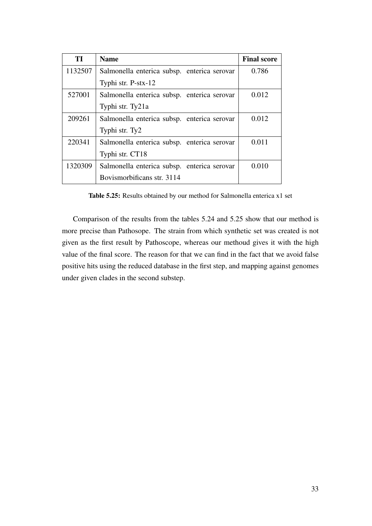| TI      | <b>Name</b>                                 | <b>Final score</b> |
|---------|---------------------------------------------|--------------------|
| 1132507 | Salmonella enterica subsp. enterica serovar | 0.786              |
|         | Typhi str. P-stx-12                         |                    |
| 527001  | Salmonella enterica subsp. enterica serovar | 0.012              |
|         | Typhi str. Ty21a                            |                    |
| 209261  | Salmonella enterica subsp. enterica serovar | 0.012              |
|         | Typhi str. Ty2                              |                    |
| 220341  | Salmonella enterica subsp. enterica serovar | 0.011              |
|         | Typhi str. CT18                             |                    |
| 1320309 | Salmonella enterica subsp. enterica serovar | 0.010              |
|         | Bovismorbificans str. 3114                  |                    |

Table 5.25: Results obtained by our method for Salmonella enterica x1 set

Comparison of the results from the tables 5.24 and 5.25 show that our method is more precise than Pathosope. The strain from which synthetic set was created is not given as the first result by Pathoscope, whereas our methoud gives it with the high value of the final score. The reason for that we can find in the fact that we avoid false positive hits using the reduced database in the first step, and mapping against genomes under given clades in the second substep.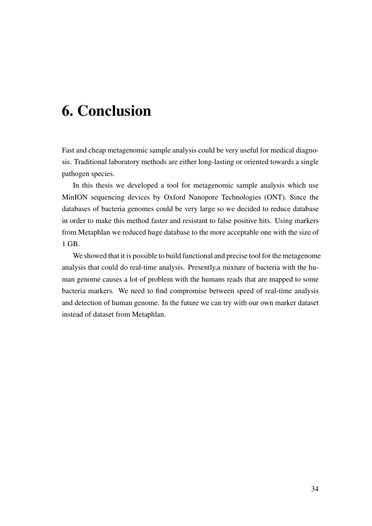## 6. Conclusion

Fast and cheap metagenomic sample analysis could be very useful for medical diagnosis. Traditional laboratory methods are either long-lasting or oriented towards a single pathogen species.

In this thesis we developed a tool for metagenomic sample analysis which use MinION sequencing devices by Oxford Nanopore Technologies (ONT). Since the databases of bacteria genomes could be very large so we decided to reduce database in order to make this method faster and resistant to false positive hits. Using markers from Metaphlan we reduced huge database to the more acceptable one with the size of 1 GB.

We showed that it is possible to build functional and precise tool for the metagenome analysis that could do real-time analysis. Presently,a mixture of bacteria with the human genome causes a lot of problem with the humans reads that are mapped to some bacteria markers. We need to find compromise between speed of real-time analysis and detection of human genome. In the future we can try with our own marker dataset instead of dataset from Metaphlan.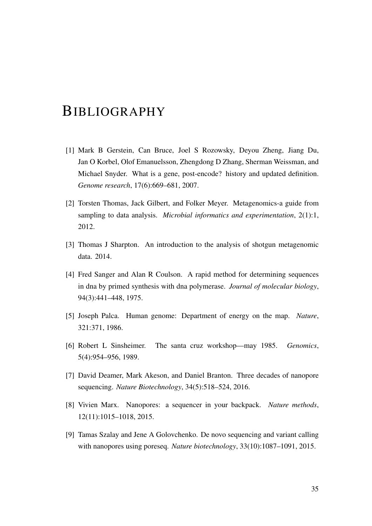## BIBLIOGRAPHY

- [1] Mark B Gerstein, Can Bruce, Joel S Rozowsky, Deyou Zheng, Jiang Du, Jan O Korbel, Olof Emanuelsson, Zhengdong D Zhang, Sherman Weissman, and Michael Snyder. What is a gene, post-encode? history and updated definition. *Genome research*, 17(6):669–681, 2007.
- [2] Torsten Thomas, Jack Gilbert, and Folker Meyer. Metagenomics-a guide from sampling to data analysis. *Microbial informatics and experimentation*, 2(1):1, 2012.
- [3] Thomas J Sharpton. An introduction to the analysis of shotgun metagenomic data. 2014.
- [4] Fred Sanger and Alan R Coulson. A rapid method for determining sequences in dna by primed synthesis with dna polymerase. *Journal of molecular biology*, 94(3):441–448, 1975.
- [5] Joseph Palca. Human genome: Department of energy on the map. *Nature*, 321:371, 1986.
- [6] Robert L Sinsheimer. The santa cruz workshop—may 1985. *Genomics*, 5(4):954–956, 1989.
- [7] David Deamer, Mark Akeson, and Daniel Branton. Three decades of nanopore sequencing. *Nature Biotechnology*, 34(5):518–524, 2016.
- [8] Vivien Marx. Nanopores: a sequencer in your backpack. *Nature methods*, 12(11):1015–1018, 2015.
- [9] Tamas Szalay and Jene A Golovchenko. De novo sequencing and variant calling with nanopores using poreseq. *Nature biotechnology*, 33(10):1087–1091, 2015.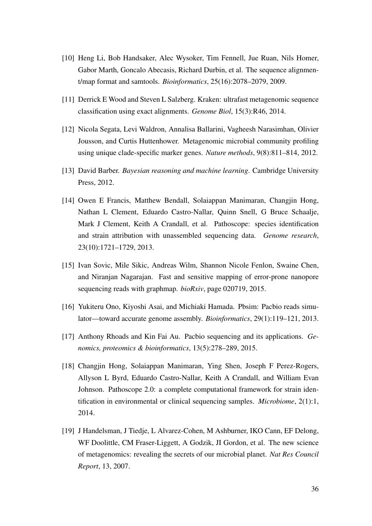- [10] Heng Li, Bob Handsaker, Alec Wysoker, Tim Fennell, Jue Ruan, Nils Homer, Gabor Marth, Goncalo Abecasis, Richard Durbin, et al. The sequence alignment/map format and samtools. *Bioinformatics*, 25(16):2078–2079, 2009.
- [11] Derrick E Wood and Steven L Salzberg. Kraken: ultrafast metagenomic sequence classification using exact alignments. *Genome Biol*, 15(3):R46, 2014.
- [12] Nicola Segata, Levi Waldron, Annalisa Ballarini, Vagheesh Narasimhan, Olivier Jousson, and Curtis Huttenhower. Metagenomic microbial community profiling using unique clade-specific marker genes. *Nature methods*, 9(8):811–814, 2012.
- [13] David Barber. *Bayesian reasoning and machine learning*. Cambridge University Press, 2012.
- [14] Owen E Francis, Matthew Bendall, Solaiappan Manimaran, Changjin Hong, Nathan L Clement, Eduardo Castro-Nallar, Quinn Snell, G Bruce Schaalje, Mark J Clement, Keith A Crandall, et al. Pathoscope: species identification and strain attribution with unassembled sequencing data. *Genome research*, 23(10):1721–1729, 2013.
- [15] Ivan Sovic, Mile Sikic, Andreas Wilm, Shannon Nicole Fenlon, Swaine Chen, and Niranjan Nagarajan. Fast and sensitive mapping of error-prone nanopore sequencing reads with graphmap. *bioRxiv*, page 020719, 2015.
- [16] Yukiteru Ono, Kiyoshi Asai, and Michiaki Hamada. Pbsim: Pacbio reads simulator—toward accurate genome assembly. *Bioinformatics*, 29(1):119–121, 2013.
- [17] Anthony Rhoads and Kin Fai Au. Pacbio sequencing and its applications. *Genomics, proteomics & bioinformatics*, 13(5):278–289, 2015.
- [18] Changjin Hong, Solaiappan Manimaran, Ying Shen, Joseph F Perez-Rogers, Allyson L Byrd, Eduardo Castro-Nallar, Keith A Crandall, and William Evan Johnson. Pathoscope 2.0: a complete computational framework for strain identification in environmental or clinical sequencing samples. *Microbiome*, 2(1):1, 2014.
- [19] J Handelsman, J Tiedje, L Alvarez-Cohen, M Ashburner, IKO Cann, EF Delong, WF Doolittle, CM Fraser-Liggett, A Godzik, JI Gordon, et al. The new science of metagenomics: revealing the secrets of our microbial planet. *Nat Res Council Report*, 13, 2007.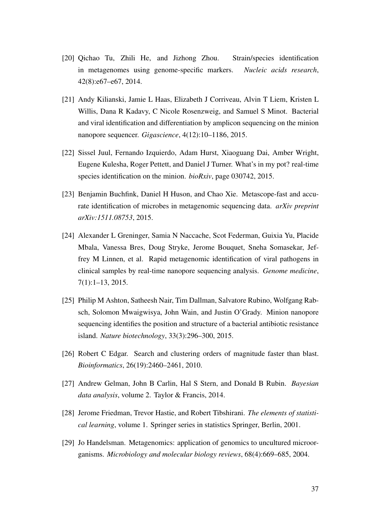- [20] Qichao Tu, Zhili He, and Jizhong Zhou. Strain/species identification in metagenomes using genome-specific markers. *Nucleic acids research*, 42(8):e67–e67, 2014.
- [21] Andy Kilianski, Jamie L Haas, Elizabeth J Corriveau, Alvin T Liem, Kristen L Willis, Dana R Kadavy, C Nicole Rosenzweig, and Samuel S Minot. Bacterial and viral identification and differentiation by amplicon sequencing on the minion nanopore sequencer. *Gigascience*, 4(12):10–1186, 2015.
- [22] Sissel Juul, Fernando Izquierdo, Adam Hurst, Xiaoguang Dai, Amber Wright, Eugene Kulesha, Roger Pettett, and Daniel J Turner. What's in my pot? real-time species identification on the minion. *bioRxiv*, page 030742, 2015.
- [23] Benjamin Buchfink, Daniel H Huson, and Chao Xie. Metascope-fast and accurate identification of microbes in metagenomic sequencing data. *arXiv preprint arXiv:1511.08753*, 2015.
- [24] Alexander L Greninger, Samia N Naccache, Scot Federman, Guixia Yu, Placide Mbala, Vanessa Bres, Doug Stryke, Jerome Bouquet, Sneha Somasekar, Jeffrey M Linnen, et al. Rapid metagenomic identification of viral pathogens in clinical samples by real-time nanopore sequencing analysis. *Genome medicine*, 7(1):1–13, 2015.
- [25] Philip M Ashton, Satheesh Nair, Tim Dallman, Salvatore Rubino, Wolfgang Rabsch, Solomon Mwaigwisya, John Wain, and Justin O'Grady. Minion nanopore sequencing identifies the position and structure of a bacterial antibiotic resistance island. *Nature biotechnology*, 33(3):296–300, 2015.
- [26] Robert C Edgar. Search and clustering orders of magnitude faster than blast. *Bioinformatics*, 26(19):2460–2461, 2010.
- [27] Andrew Gelman, John B Carlin, Hal S Stern, and Donald B Rubin. *Bayesian data analysis*, volume 2. Taylor & Francis, 2014.
- [28] Jerome Friedman, Trevor Hastie, and Robert Tibshirani. *The elements of statistical learning*, volume 1. Springer series in statistics Springer, Berlin, 2001.
- [29] Jo Handelsman. Metagenomics: application of genomics to uncultured microorganisms. *Microbiology and molecular biology reviews*, 68(4):669–685, 2004.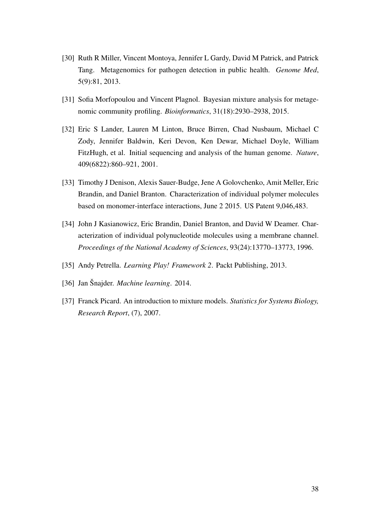- [30] Ruth R Miller, Vincent Montoya, Jennifer L Gardy, David M Patrick, and Patrick Tang. Metagenomics for pathogen detection in public health. *Genome Med*, 5(9):81, 2013.
- [31] Sofia Morfopoulou and Vincent Plagnol. Bayesian mixture analysis for metagenomic community profiling. *Bioinformatics*, 31(18):2930–2938, 2015.
- [32] Eric S Lander, Lauren M Linton, Bruce Birren, Chad Nusbaum, Michael C Zody, Jennifer Baldwin, Keri Devon, Ken Dewar, Michael Doyle, William FitzHugh, et al. Initial sequencing and analysis of the human genome. *Nature*, 409(6822):860–921, 2001.
- [33] Timothy J Denison, Alexis Sauer-Budge, Jene A Golovchenko, Amit Meller, Eric Brandin, and Daniel Branton. Characterization of individual polymer molecules based on monomer-interface interactions, June 2 2015. US Patent 9,046,483.
- [34] John J Kasianowicz, Eric Brandin, Daniel Branton, and David W Deamer. Characterization of individual polynucleotide molecules using a membrane channel. *Proceedings of the National Academy of Sciences*, 93(24):13770–13773, 1996.
- [35] Andy Petrella. *Learning Play! Framework 2*. Packt Publishing, 2013.
- [36] Jan Šnajder. *Machine learning*. 2014.
- [37] Franck Picard. An introduction to mixture models. *Statistics for Systems Biology, Research Report*, (7), 2007.